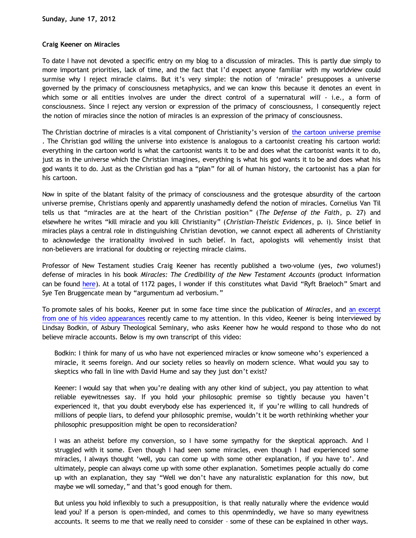## **Craig Keener on Miracles**

To date I have not devoted a specific entry on my blog to a discussion of miracles. This is partly due simply to more important priorities, lack of time, and the fact that I'd expect anyone familiar with my worldview could surmise why I reject miracle claims. But it's very simple: the notion of 'miracle' presupposes a universe governed by the primacy of consciousness metaphysics, and we can know this because it denotes an event in which some or all entities involves are under the direct control of a supernatural *will* - i.e., a form of consciousness. Since I reject any version or expression of the primacy of consciousness, I consequently reject the notion of miracles since the notion of miracles is an expression of the primacy of consciousness.

The Christian doctrine of miracles is a vital component of Christianity's version of [the cartoon universe premise](http://www.katholon.com/Cartoon_Universe_of_Christianity.htm) . The Christian god willing the universe into existence is analogous to a cartoonist creating his cartoon world: everything in the cartoon world is what the cartoonist wants it to be and does what the cartoonist wants it to do, just as in the universe which the Christian imagines, everything is what his god wants it to be and does what his god wants it to do. Just as the Christian god has a "plan" for all of human history, the cartoonist has a plan for his cartoon.

Now in spite of the blatant falsity of the primacy of consciousness and the grotesque absurdity of the cartoon universe premise, Christians openly and apparently unashamedly defend the notion of miracles. Cornelius Van Til tells us that "miracles are at the heart of the Christian position" (*The Defense of the Faith*, p. 27) and elsewhere he writes "kill miracle and you kill Christianity" (*Christian-Theistic Evidences*, p. i). Since belief in miracles plays a central role in distinguishing Christian devotion, we cannot expect all adherents of Christianity to acknowledge the irrationality involved in such belief. In fact, apologists will vehemently insist that non-believers are irrational for doubting or rejecting miracle claims.

Professor of New Testament studies Craig Keener has recently published a two-volume (yes, *two* volumes!) defense of miracles in his book *Miracles: The Credibility of the New Testament Accounts* (product information can be found [here](http://www.amazon.com/gp/product/0801039525/ref=olp_product_details?ie=UTF8&me=&seller=)). At a total of 1172 pages, I wonder if this constitutes what David "Ryft Braeloch" Smart and Sye Ten Bruggencate mean by "argumentum ad verbosium."

To promote sales of his books, Keener put in some face time since the publication of *Miracles*, and [an excerpt](http://www.youtube.com/watch?feature=player_embedded&v=KZPWjVjevAg) [from one of his video appearances](http://www.youtube.com/watch?feature=player_embedded&v=KZPWjVjevAg) recently came to my attention. In this video, Keener is being interviewed by Lindsay Bodkin, of Asbury Theological Seminary, who asks Keener how he would respond to those who do not believe miracle accounts. Below is my own transcript of this video:

Bodkin: I think for many of us who have not experienced miracles or know someone who's experienced a miracle, it seems foreign. And our society relies so heavily on modern science. What would you say to skeptics who fall in line with David Hume and say they just don't exist?

Keener: I would say that when you're dealing with any other kind of subject, you pay attention to what reliable eyewitnesses say. If you hold your philosophic premise so tightly because you haven't experienced it, that you doubt everybody else has experienced it, if you're willing to call hundreds of millions of people liars, to defend your philosophic premise, wouldn't it be worth rethinking whether your philosophic presupposition might be open to reconsideration?

I was an atheist before my conversion, so I have some sympathy for the skeptical approach. And I struggled with it some. Even though I had seen some miracles, even though I had experienced some miracles, I always thought 'well, you can come up with some other explanation, if you have to'. And ultimately, people can always come up with some other explanation. Sometimes people actually do come up with an explanation, they say "Well we don't have any naturalistic explanation for this now, but maybe we will someday," and that's good enough for them.

But unless you hold inflexibly to such a presupposition, is that really naturally where the evidence would lead you? If a person is open-minded, and comes to this openmindedly, we have so many eyewitness accounts. It seems to me that we really need to consider – some of these can be explained in other ways.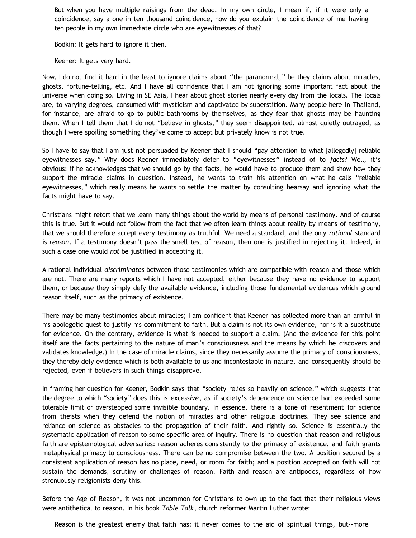But when you have multiple raisings from the dead. In my own circle, I mean if, if it were only a coincidence, say a one in ten thousand coincidence, how do you explain the coincidence of me having ten people in my own immediate circle who are eyewitnesses of that?

Bodkin: It gets hard to ignore it then.

Keener: It gets very hard.

Now, I do not find it hard in the least to ignore claims about "the paranormal," be they claims about miracles, ghosts, fortune-telling, etc. And I have all confidence that I am not ignoring some important fact about the universe when doing so. Living in SE Asia, I hear about ghost stories nearly every day from the locals. The locals are, to varying degrees, consumed with mysticism and captivated by superstition. Many people here in Thailand, for instance, are afraid to go to public bathrooms by themselves, as they fear that ghosts may be haunting them. When I tell them that I do not "believe in ghosts," they seem disappointed, almost quietly outraged, as though I were spoiling something they've come to accept but privately know is not true.

So I have to say that I am just not persuaded by Keener that I should "pay attention to what [allegedly] reliable eyewitnesses say." Why does Keener immediately defer to "eyewitnesses" instead of to *facts*? Well, it's obvious: if he acknowledges that we should go by the facts, he would have to produce them and show how they support the miracle claims in question. Instead, he wants to train his attention on what he calls "reliable eyewitnesses," which really means he wants to settle the matter by consulting hearsay and ignoring what the facts might have to say.

Christians might retort that we learn many things about the world by means of personal testimony. And of course this is true. But it would not follow from the fact that we often learn things about reality by means of testimony, that we should therefore accept every testimony as truthful. We need a standard, and the only *rational* standard is *reason*. If a testimony doesn't pass the smell test of reason, then one is justified in rejecting it. Indeed, in such a case one would *not* be justified in accepting it.

A rational individual *discriminates* between those testimonies which are compatible with reason and those which are not. There are many reports which I have not accepted, either because they have no evidence to support them, or because they simply defy the available evidence, including those fundamental evidences which ground reason itself, such as the primacy of existence.

There may be many testimonies about miracles; I am confident that Keener has collected more than an armful in his apologetic quest to justify his commitment to faith. But a claim is not its own evidence, nor is it a substitute for evidence. On the contrary, evidence is what is needed to support a claim. (And the evidence for this point itself are the facts pertaining to the nature of man's consciousness and the means by which he discovers and validates knowledge.) In the case of miracle claims, since they necessarily assume the primacy of consciousness, they thereby defy evidence which is both available to us and incontestable in nature, and consequently should be rejected, even if believers in such things disapprove.

In framing her question for Keener, Bodkin says that "society relies so heavily on science," which suggests that the degree to which "society" does this is *excessive*, as if society's dependence on science had exceeded some tolerable limit or overstepped some invisible boundary. In essence, there is a tone of resentment for science from theists when they defend the notion of miracles and other religious doctrines. They see science and reliance on science as obstacles to the propagation of their faith. And rightly so. Science is essentially the systematic application of reason to some specific area of inquiry. There is no question that reason and religious faith are epistemological adversaries: reason adheres consistently to the primacy of existence, and faith grants metaphysical primacy to consciousness. There can be no compromise between the two. A position secured by a consistent application of reason has no place, need, or room for faith; and a position accepted on faith will not sustain the demands, scrutiny or challenges of reason. Faith and reason are antipodes, regardless of how strenuously religionists deny this.

Before the Age of Reason, it was not uncommon for Christians to own up to the fact that their religious views were antithetical to reason. In his book *Table Talk*, church reformer Martin Luther wrote:

Reason is the greatest enemy that faith has: it never comes to the aid of spiritual things, but--more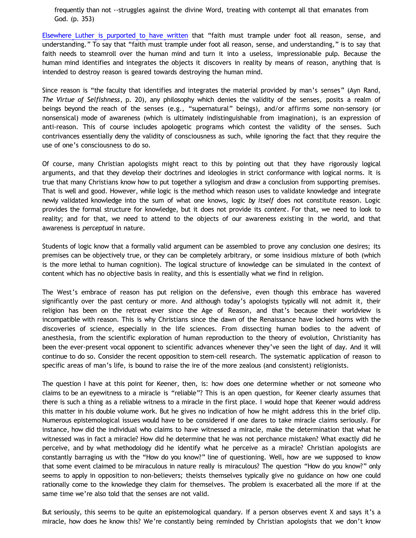frequently than not --struggles against the divine Word, treating with contempt all that emanates from God. (p. 353)

[Elsewhere Luther is purported to have written](http://www.brainyquote.com/quotes/authors/m/martin_luther.html) that "faith must trample under foot all reason, sense, and understanding." To say that "faith must trample under foot all reason, sense, and understanding," is to say that faith needs to steamroll over the human mind and turn it into a useless, impressionable pulp. Because the human mind identifies and integrates the objects it discovers in reality by means of reason, anything that is intended to destroy reason is geared towards destroying the human mind.

Since reason is "the faculty that identifies and integrates the material provided by man's senses" (Ayn Rand, *The Virtue of Selfishness*, p. 20), any philosophy which denies the validity of the senses, posits a realm of beings beyond the reach of the senses (e.g., "supernatural" beings), and/or affirms some non-sensory (or nonsensical) mode of awareness (which is ultimately indistinguishable from imagination), is an expression of anti-reason. This of course includes apologetic programs which contest the validity of the senses. Such contrivances essentially deny the validity of consciousness as such, while ignoring the fact that they require the use of one's consciousness to do so.

Of course, many Christian apologists might react to this by pointing out that they have rigorously logical arguments, and that they develop their doctrines and ideologies in strict conformance with logical norms. It is true that many Christians know how to put together a syllogism and draw a conclusion from supporting premises. That is well and good. However, while logic is the method which reason uses to validate knowledge and integrate newly validated knowledge into the sum of what one knows, logic *by itself* does not constitute reason. Logic provides the formal structure for knowledge, but it does not provide its *content*. For that, we need to look to reality; and for that, we need to attend to the objects of our awareness existing in the world, and that awareness is *perceptual* in nature.

Students of logic know that a formally valid argument can be assembled to prove any conclusion one desires; its premises can be objectively true, or they can be completely arbitrary, or some insidious mixture of both (which is the more lethal to human cognition). The logical structure of knowledge can be simulated in the context of content which has no objective basis in reality, and this is essentially what we find in religion.

The West's embrace of reason has put religion on the defensive, even though this embrace has wavered significantly over the past century or more. And although today's apologists typically will not admit it, their religion has been on the retreat ever since the Age of Reason, and that's because their worldview is incompatible with reason. This is why Christians since the dawn of the Renaissance have locked horns with the discoveries of science, especially in the life sciences. From dissecting human bodies to the advent of anesthesia, from the scientific exploration of human reproduction to the theory of evolution, Christianity has been the ever-present vocal opponent to scientific advances whenever they've seen the light of day. And it will continue to do so. Consider the recent opposition to stem-cell research. The systematic application of reason to specific areas of man's life, is bound to raise the ire of the more zealous (and consistent) religionists.

The question I have at this point for Keener, then, is: how does one determine whether or not someone who claims to be an eyewitness to a miracle is "reliable"? This is an open question, for Keener clearly assumes that there is such a thing as a reliable witness to a miracle in the first place. I would hope that Keener would address this matter in his double volume work. But he gives no indication of how he might address this in the brief clip. Numerous epistemological issues would have to be considered if one dares to take miracle claims seriously. For instance, how did the individual who claims to have witnessed a miracle, make the determination that what he witnessed was in fact a miracle? How did he determine that he was not perchance mistaken? What exactly did he perceive, and by what methodology did he identify what he perceive as a miracle? Christian apologists are constantly barraging us with the "How do you know?" line of questioning. Well, how are we supposed to know that some event claimed to be miraculous in nature really is miraculous? The question "How do you know?" only seems to apply in opposition to non-believers; theists themselves typically give no guidance on how one could rationally come to the knowledge they claim for themselves. The problem is exacerbated all the more if at the same time we're also told that the senses are not valid.

But seriously, this seems to be quite an epistemological quandary. If a person observes event X and says it's a miracle, how does he know this? We're constantly being reminded by Christian apologists that we don't know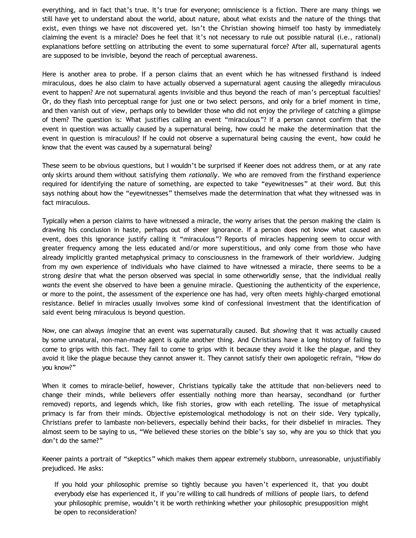everything, and in fact that's true. It's true for everyone; omniscience is a fiction. There are many things we still have yet to understand about the world, about nature, about what exists and the nature of the things that exist, even things we have not discovered yet. Isn't the Christian showing himself too hasty by immediately claiming the event is a miracle? Does he feel that it's not necessary to rule out possible natural (i.e., rational) explanations before settling on attributing the event to some supernatural force? After all, supernatural agents are supposed to be invisible, beyond the reach of perceptual awareness.

Here is another area to probe. If a person claims that an event which he has witnessed firsthand is indeed miraculous, does he also claim to have actually observed a supernatural agent causing the allegedly miraculous event to happen? Are not supernatural agents invisible and thus beyond the reach of man's perceptual faculties? Or, do they flash into perceptual range for just one or two select persons, and only for a brief moment in time, and then vanish out of view, perhaps only to bewilder those who did not enjoy the privilege of catching a glimpse of them? The question is: What justifies calling an event "miraculous"? If a person cannot confirm that the event in question was actually caused by a supernatural being, how could he make the determination that the event in question is miraculous? If he could not observe a supernatural being causing the event, how could he know that the event was caused by a supernatural being?

These seem to be obvious questions, but I wouldn't be surprised if Keener does not address them, or at any rate only skirts around them without satisfying them *rationally*. We who are removed from the firsthand experience required for identifying the nature of something, are expected to take "eyewitnesses" at their word. But this says nothing about how the "eyewitnesses" themselves made the determination that what they witnessed was in fact miraculous.

Typically when a person claims to have witnessed a miracle, the worry arises that the person making the claim is drawing his conclusion in haste, perhaps out of sheer ignorance. If a person does not know what caused an event, does this ignorance justify calling it "miraculous"? Reports of miracles happening seem to occur with greater frequency among the less educated and/or more superstitious, and only come from those who have already implicitly granted metaphysical primacy to consciousness in the framework of their worldview. Judging from my own experience of individuals who have claimed to have witnessed a miracle, there seems to be a strong *desire* that what the person observed was special in some otherworldly sense, that the individual really *wants* the event she observed to have been a genuine miracle. Questioning the authenticity of the experience, or more to the point, the assessment of the experience one has had, very often meets highly-charged emotional resistance. Belief in miracles usually involves some kind of confessional investment that the identification of said event being miraculous is beyond question.

Now, one can always *imagine* that an event was supernaturally caused. But *showing* that it was actually caused by some unnatural, non-man-made agent is quite another thing. And Christians have a long history of failing to come to grips with this fact. They fail to come to grips with it because they avoid it like the plague, and they avoid it like the plague because they cannot answer it. They cannot satisfy their own apologetic refrain, "How do you know?"

When it comes to miracle-belief, however, Christians typically take the attitude that non-believers need to change their minds, while believers offer essentially nothing more than hearsay, secondhand (or further removed) reports, and legends which, like fish stories, grow with each retelling. The issue of metaphysical primacy is far from their minds. Objective epistemological methodology is not on their side. Very typically, Christians prefer to lambaste non-believers, especially behind their backs, for their disbelief in miracles. They almost seem to be saying to us, "We believed these stories on the bible's say so, why are you so thick that you don't do the same?"

Keener paints a portrait of "skeptics" which makes them appear extremely stubborn, unreasonable, unjustifiably prejudiced. He asks:

If you hold your philosophic premise so tightly because you haven't experienced it, that you doubt everybody else has experienced it, if you're willing to call hundreds of millions of people liars, to defend your philosophic premise, wouldn't it be worth rethinking whether your philosophic presupposition might be open to reconsideration?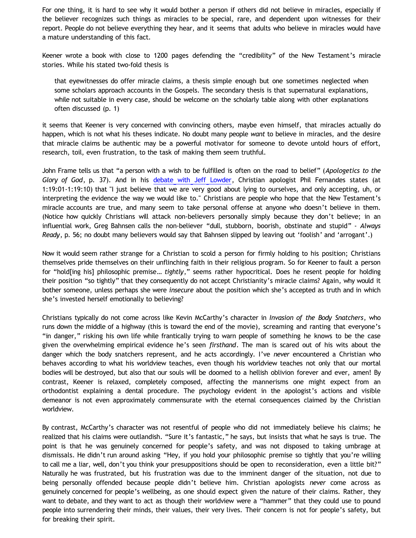For one thing, it is hard to see why it would bother a person if others did not believe in miracles, especially if the believer recognizes such things as miracles to be special, rare, and dependent upon witnesses for their report. People do not believe everything they hear, and it seems that adults who believe in miracles would have a mature understanding of this fact.

Keener wrote a book with close to 1200 pages defending the "credibility" of the New Testament's miracle stories. While his stated two-fold thesis is

that eyewitnesses do offer miracle claims, a thesis simple enough but one sometimes neglected when some scholars approach accounts in the Gospels. The secondary thesis is that supernatural explanations, while not suitable in every case, should be welcome on the scholarly table along with other explanations often discussed (p. 1)

it seems that Keener is very concerned with convincing others, maybe even himself, that miracles actually do happen, which is not what his theses indicate. No doubt many people *want* to believe in miracles, and the desire that miracle claims be authentic may be a powerful motivator for someone to devote untold hours of effort, research, toil, even frustration, to the task of making them seem truthful.

John Frame tells us that "a person with a wish to be fulfilled is often on the road to belief" (*Apologetics to the Glory of God*, p. 37). And in his [debate with Jeff Lowder](http://www.youtube.com/watch?v=HNsvP5KjEVE), Christian apologist Phil Fernandes states (at 1:19:01-1:19:10) that "I just believe that we are very good about lying to ourselves, and only accepting, uh, or interpreting the evidence the way we would like to." Christians are people who hope that the New Testament's miracle accounts are true, and many seem to take personal offense at anyone who doesn't believe in them. (Notice how quickly Christians will attack non-believers personally simply because they don't believe; in an influential work, Greg Bahnsen calls the non-believer "dull, stubborn, boorish, obstinate and stupid" - *Always Ready*, p. 56; no doubt many believers would say that Bahnsen slipped by leaving out 'foolish' and 'arrogant'.)

Now it would seem rather strange for a Christian to scold a person for firmly holding to his position; Christians themselves pride themselves on their unflinching faith in their religious program. So for Keener to fault a person for "hold[ing his] philosophic premise… *tightly*," seems rather hypocritical. Does he resent people for holding their position "so tightly" that they consequently do not accept Christianity's miracle claims? Again, why would it bother someone, unless perhaps she were *insecure* about the position which she's accepted as truth and in which she's invested herself emotionally to believing?

Christians typically do not come across like Kevin McCarthy's character in *Invasion of the Body Snatchers*, who runs down the middle of a highway (this is toward the end of the movie), screaming and ranting that everyone's "in danger," risking his own life while frantically trying to warn people of something he knows to be the case given the overwhelming empirical evidence he's seen *firsthand*. The man is scared out of his wits about the danger which the body snatchers represent, and he acts accordingly. I've *never* encountered a Christian who behaves according to what his worldview teaches, even though his worldview teaches not only that our mortal bodies will be destroyed, but also that our souls will be doomed to a hellish oblivion forever and ever, amen! By contrast, Keener is relaxed, completely composed, affecting the mannerisms one might expect from an orthodontist explaining a dental procedure. The psychology evident in the apologist's actions and visible demeanor is not even approximately commensurate with the eternal consequences claimed by the Christian worldview.

By contrast, McCarthy's character was not resentful of people who did not immediately believe his claims; he realized that his claims were outlandish. "Sure it's fantastic," he says, but insists that what he says is true. The point is that he was genuinely concerned for people's safety, and was not disposed to taking umbrage at dismissals. He didn't run around asking "Hey, if you hold your philosophic premise so tightly that you're willing to call me a liar, well, don't you think your presuppositions should be open to reconsideration, even a little bit?" Naturally he was frustrated, but his frustration was due to the imminent danger of the situation, not due to being personally offended because people didn't believe him. Christian apologists *never* come across as genuinely concerned for people's wellbeing, as one should expect given the nature of their claims. Rather, they want to debate, and they want to act as though their worldview were a "hammer" that they could use to pound people into surrendering their minds, their values, their very lives. Their concern is not for people's safety, but for breaking their spirit.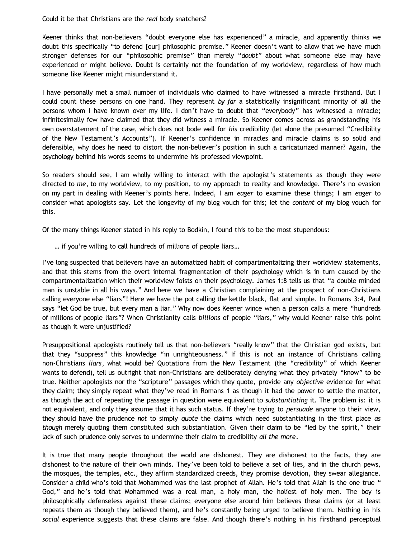## Could it be that Christians are the *real* body snatchers?

Keener thinks that non-believers "doubt everyone else has experienced" a miracle, and apparently thinks we doubt this specifically "to defend [our] philosophic premise." Keener doesn't want to allow that we have much stronger defenses for our "philosophic premise" than merely "*doubt*" about what someone else may have experienced or might believe. Doubt is certainly *not* the foundation of my worldview, regardless of how much someone like Keener might misunderstand it.

I have personally met a small number of individuals who claimed to have witnessed a miracle firsthand. But I could count these persons on one hand. They represent *by far* a statistically insignificant minority of all the persons whom I have known over my life. I don't have to doubt that "everybody" has witnessed a miracle; infinitesimally few have claimed that they did witness a miracle. So Keener comes across as grandstanding his own overstatement of the case, which does not bode well for *his* credibility (let alone the presumed "Credibility of the New Testament's Accounts"). If Keener's confidence in miracles and miracle claims is so solid and defensible, why does he need to distort the non-believer's position in such a caricaturized manner? Again, the psychology behind his words seems to undermine his professed viewpoint.

So readers should see, I am wholly willing to interact with the apologist's statements as though they were directed to *me*, to my worldview, to my position, to my approach to reality and knowledge. There's no evasion on my part in dealing with Keener's points here. Indeed, I am *eager* to examine these things; I am *eager* to consider what apologists say. Let the longevity of my blog vouch for this; let the *content* of my blog vouch for this.

Of the many things Keener stated in his reply to Bodkin, I found this to be the most stupendous:

… if you're willing to call hundreds of millions of people liars…

I've long suspected that believers have an automatized habit of compartmentalizing their worldview statements, and that this stems from the overt internal fragmentation of their psychology which is in turn caused by the compartmentalization which their worldview foists on their psychology. James 1:8 tells us that "a double minded man is unstable in all his ways." And here we have a Christian complaining at the prospect of non-Christians calling everyone else "liars"! Here we have the pot calling the kettle black, flat and simple. In Romans 3:4, Paul says "let God be true, but every man a liar." Why now does Keener wince when a person calls a mere "hundreds of millions of people liars"? When Christianity calls *billions* of people "liars," why would Keener raise this point as though it were unjustified?

Presuppositional apologists routinely tell us that non-believers "really know" that the Christian god exists, but that they "suppress" this knowledge "in unrighteousness." If this is not an instance of Christians calling non-Christians *liars*, what would be? Quotations from the New Testament (the "credibility" of which Keener wants to defend), tell us outright that non-Christians are deliberately denying what they privately "know" to be true. Neither apologists nor the "scripture" passages which they quote, provide any *objective* evidence for what they claim; they simply repeat what they've read in Romans 1 as though it had the power to settle the matter, as though the act of repeating the passage in question were equivalent to *substantiating* it. The problem is: it is not equivalent, and only they assume that it has such status. If they're trying to *persuade* anyone to their view, they should have the prudence *not* to simply *quote* the claims which need substantiating in the first place *as though* merely quoting them constituted such substantiation. Given their claim to be "led by the spirit," their lack of such prudence only serves to undermine their claim to credibility *all the more*.

It is true that many people throughout the world are dishonest. They are dishonest to the facts, they are dishonest to the nature of their own minds. They've been told to believe a set of lies, and in the church pews, the mosques, the temples, etc., they affirm standardized creeds, they promise devotion, they swear allegiance. Consider a child who's told that Mohammed was the last prophet of Allah. He's told that Allah is the one true " God," and he's told that Mohammed was a real man, a holy man, the holiest of holy men. The boy is philosophically defenseless against these claims; everyone else around him believes these claims (or at least repeats them as though they believed them), and he's constantly being urged to believe them. Nothing in his *social* experience suggests that these claims are false. And though there's nothing in his firsthand perceptual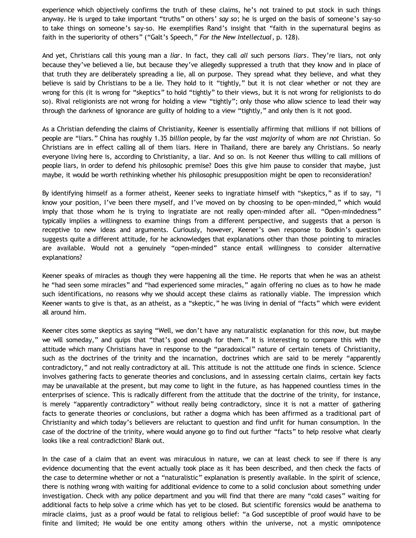experience which objectively confirms the truth of these claims, he's not trained to put stock in such things anyway. He is urged to take important "truths" on others' *say so*; he is urged on the basis of someone's say-so to take things on someone's say-so. He exemplifies Rand's insight that "faith in the supernatural begins as faith in the superiority of others" ("Galt's Speech," *For the New Intellectual*, p. 128).

And yet, Christians call this young man a *liar*. In fact, they call *all* such persons *liars*. They're liars, not only because they've believed a lie, but because they've allegedly suppressed a truth that they know and in place of that truth they are deliberately spreading a lie, all on purpose. They spread what they believe, and what they believe is said by Christians to be a lie. They hold to it "tightly," but it is not clear whether or not they are wrong for this (it is wrong for "skeptics" to hold "tightly" to their views, but it is not wrong for religionists to do so). Rival religionists are not wrong for holding a view "tightly"; only those who allow science to lead their way through the darkness of ignorance are guilty of holding to a view "tightly," and only then is it not good.

As a Christian defending the claims of Christianity, Keener is essentially affirming that millions if not billions of people are "liars." China has roughly 1.35 *billion* people, by far the *vast majority* of whom are *not* Christian. So Christians are in effect calling all of them liars. Here in Thailand, there are barely any Christians. So nearly everyone living here is, according to Christianity, a liar. And so on. Is not Keener thus willing to call millions of people liars, in order to defend his philosophic premise? Does this give him pause to consider that maybe, just maybe, it would be worth rethinking whether his philosophic presupposition might be open to reconsideration?

By identifying himself as a former atheist, Keener seeks to ingratiate himself with "skeptics," as if to say, "I know your position, I've been there myself, and I've moved on by choosing to be open-minded," which would imply that those whom he is trying to ingratiate are not really open-minded after all. "Open-mindedness" typically implies a willingness to examine things from a different perspective, and suggests that a person is receptive to new ideas and arguments. Curiously, however, Keener's own response to Bodkin's question suggests quite a different attitude, for he acknowledges that explanations other than those pointing to miracles are available. Would not a genuinely "open-minded" stance entail willingness to consider alternative explanations?

Keener speaks of miracles as though they were happening all the time. He reports that when he was an atheist he "had seen some miracles" and "had experienced some miracles," again offering no clues as to how he made such identifications, no reasons why we should accept these claims as rationally viable. The impression which Keener wants to give is that, as an atheist, as a "skeptic," he was living in denial of "facts" which were evident all around him.

Keener cites some skeptics as saying "Well, we don't have any naturalistic explanation for this now, but maybe we will someday," and quips that "that's good enough for them." It is interesting to compare this with the attitude which many Christians have in response to the "paradoxical" nature of certain tenets of Christianity, such as the doctrines of the trinity and the incarnation, doctrines which are said to be merely "apparently contradictory," and not really contradictory at all. This attitude is not the attitude one finds in science. Science involves gathering facts to generate theories and conclusions, and in assessing certain claims, certain key facts may be unavailable at the present, but may come to light in the future, as has happened countless times in the enterprises of science. This is radically different from the attitude that the doctrine of the trinity, for instance, is merely "apparently contradictory" without really being contradictory, since it is not a matter of gathering facts to generate theories or conclusions, but rather a dogma which has been affirmed as a traditional part of Christianity and which today's believers are reluctant to question and find unfit for human consumption. In the case of the doctrine of the trinity, where would anyone go to find out further "facts" to help resolve what clearly looks like a real contradiction? Blank out.

In the case of a claim that an event was miraculous in nature, we can at least check to see if there is any evidence documenting that the event actually took place as it has been described, and then check the facts of the case to determine whether or not a "naturalistic" explanation is presently available. In the spirit of science, there is nothing wrong with waiting for additional evidence to come to a solid conclusion about something under investigation. Check with any police department and you will find that there are many "cold cases" waiting for additional facts to help solve a crime which has yet to be closed. But scientific forensics would be anathema to miracle claims, just as a proof would be fatal to religious belief: "a God susceptible of proof would have to be finite and limited; He would be one entity among others within the universe, not a mystic omnipotence